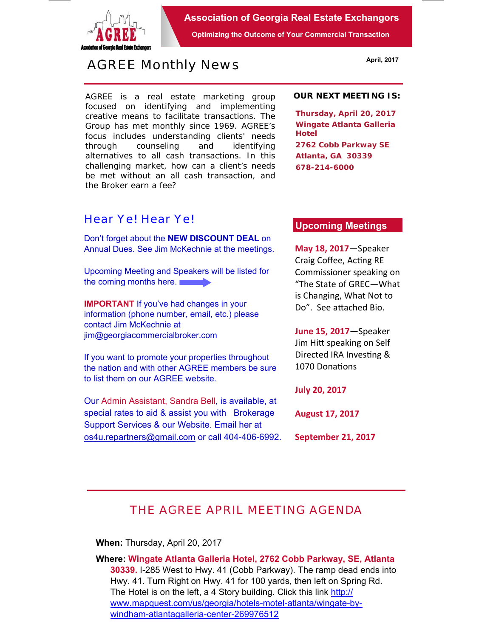

**Association of Georgia Real Estate Exchangors** 

**Optimizing the Outcome of Your Commercial Transaction** 

# *AGREE Monthly News*

AGREE is a real estate marketing group focused on identifying and implementing creative means to facilitate transactions. *The Group has met monthly since 1969.* AGREE's focus includes understanding clients' needs through counseling and identifying alternatives to all cash transactions. In this challenging market, how can a client's needs be met without an all cash transaction, and the Broker earn a fee?

### *Hear Ye! Hear Ye!*

Don't forget about the **NEW DISCOUNT DEAL** on Annual Dues. See Jim McKechnie at the meetings.

Upcoming Meeting and Speakers will be listed for the coming months here.

**IMPORTANT** If you've had changes in your information (phone number, email, etc.) please contact Jim McKechnie at jim@georgiacommercialbroker.com

If you want to promote your properties throughout the nation and with other AGREE members be sure to list them on our AGREE website.

Our Admin Assistant, Sandra Bell, is available, at special rates to aid & assist you with Brokerage Support Services & our Website. Email her at os4u.repartners@gmail.com or call 404-406-6992. **OUR NEXT MEETING IS:**

**Thursday, April 20, 2017 Wingate Atlanta Galleria Hotel 2762 Cobb Parkway SE Atlanta, GA 30339 678-214-6000** 

#### **Upcoming Meetings**

**May 18, 2017**—Speaker Craig Coffee, Acting RE Commissioner speaking on "The State of GREC—What is Changing, What Not to Do". See attached Bio.

**June 15, 2017**—Speaker Jim Hitt speaking on Self Directed IRA Investing & 1070 Donations

**July 20, 2017** 

**August 17, 2017** 

**September 21, 2017** 

## *THE AGREE APRIL MEETING AGENDA*

**When:** Thursday, April 20, 2017

**Where: Wingate Atlanta Galleria Hotel, 2762 Cobb Parkway, SE, Atlanta 30339.** I-285 West to Hwy. 41 (Cobb Parkway). The ramp dead ends into Hwy. 41. Turn Right on Hwy. 41 for 100 yards, then left on Spring Rd. The Hotel is on the left, a 4 Story building. Click this link http:// www.mapquest.com/us/georgia/hotels-motel-atlanta/wingate-bywindham-atlantagalleria-center-269976512

**April, 2017**